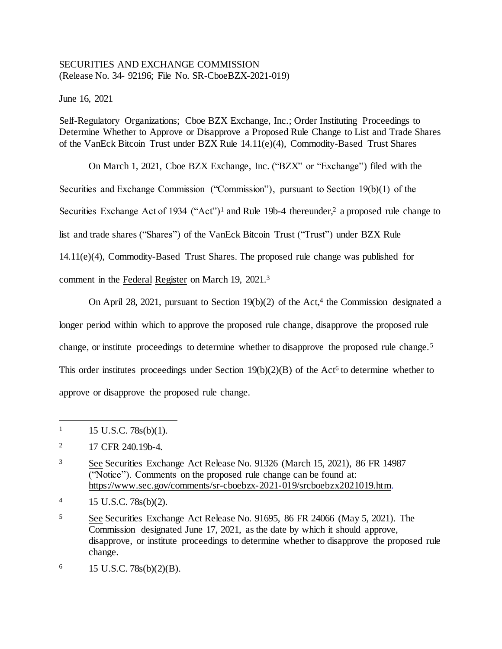# SECURITIES AND EXCHANGE COMMISSION (Release No. 34- 92196; File No. SR-CboeBZX-2021-019)

June 16, 2021

Self-Regulatory Organizations; Cboe BZX Exchange, Inc.; Order Instituting Proceedings to Determine Whether to Approve or Disapprove a Proposed Rule Change to List and Trade Shares of the VanEck Bitcoin Trust under BZX Rule 14.11(e)(4), Commodity-Based Trust Shares

On March 1, 2021, Cboe BZX Exchange, Inc. ("BZX" or "Exchange") filed with the Securities and Exchange Commission ("Commission"), pursuant to Section 19(b)(1) of the Securities Exchange Act of 1934 ("Act")<sup>1</sup> and Rule 19b-4 thereunder,<sup>2</sup> a proposed rule change to list and trade shares ("Shares") of the VanEck Bitcoin Trust ("Trust") under BZX Rule 14.11(e)(4), Commodity-Based Trust Shares. The proposed rule change was published for comment in the Federal Register on March 19, 2021.<sup>3</sup>

On April 28, 2021, pursuant to Section  $19(b)(2)$  of the Act,<sup>4</sup> the Commission designated a longer period within which to approve the proposed rule change, disapprove the proposed rule change, or institute proceedings to determine whether to disapprove the proposed rule change.<sup>5</sup> This order institutes proceedings under Section  $19(b)(2)(B)$  of the Act<sup>6</sup> to determine whether to approve or disapprove the proposed rule change.

 $1 \qquad 15 \text{ U.S.C. } 78 \text{s(b)}(1).$ 

<sup>&</sup>lt;sup>2</sup> 17 CFR 240.19b-4.

<sup>3</sup> See Securities Exchange Act Release No. 91326 (March 15, 2021), 86 FR 14987 ("Notice"). Comments on the proposed rule change can be found at: https://www.sec.gov/comments/sr-cboebzx-2021-019/srcboebzx2021019.htm.

<sup>4</sup> 15 U.S.C. 78s(b)(2).

<sup>5</sup> See Securities Exchange Act Release No. 91695, 86 FR 24066 (May 5, 2021). The Commission designated June 17, 2021, as the date by which it should approve, disapprove, or institute proceedings to determine whether to disapprove the proposed rule change.

 $6$  15 U.S.C. 78s(b)(2)(B).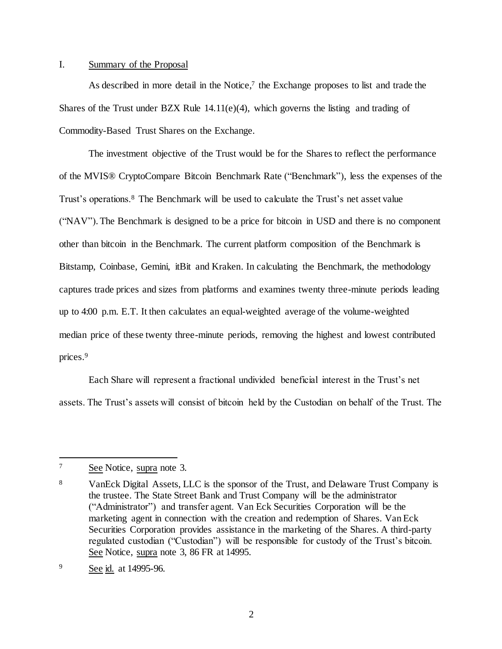# I. Summary of the Proposal

As described in more detail in the Notice, $7$  the Exchange proposes to list and trade the Shares of the Trust under BZX Rule  $14.11(e)(4)$ , which governs the listing and trading of Commodity-Based Trust Shares on the Exchange.

The investment objective of the Trust would be for the Shares to reflect the performance of the MVIS® CryptoCompare Bitcoin Benchmark Rate ("Benchmark"), less the expenses of the Trust's operations.<sup>8</sup> The Benchmark will be used to calculate the Trust's net asset value ("NAV").The Benchmark is designed to be a price for bitcoin in USD and there is no component other than bitcoin in the Benchmark. The current platform composition of the Benchmark is Bitstamp, Coinbase, Gemini, itBit and Kraken. In calculating the Benchmark, the methodology captures trade prices and sizes from platforms and examines twenty three-minute periods leading up to 4:00 p.m. E.T. It then calculates an equal-weighted average of the volume-weighted median price of these twenty three-minute periods, removing the highest and lowest contributed prices.<sup>9</sup>

Each Share will represent a fractional undivided beneficial interest in the Trust's net assets. The Trust's assets will consist of bitcoin held by the Custodian on behalf of the Trust. The

<sup>7</sup> See Notice, supra note 3.

<sup>8</sup> VanEck Digital Assets, LLC is the sponsor of the Trust, and Delaware Trust Company is the trustee. The State Street Bank and Trust Company will be the administrator ("Administrator") and transfer agent. Van Eck Securities Corporation will be the marketing agent in connection with the creation and redemption of Shares. Van Eck Securities Corporation provides assistance in the marketing of the Shares. A third-party regulated custodian ("Custodian") will be responsible for custody of the Trust's bitcoin. See Notice, supra note 3, 86 FR at 14995.

<sup>9</sup> See id. at 14995-96.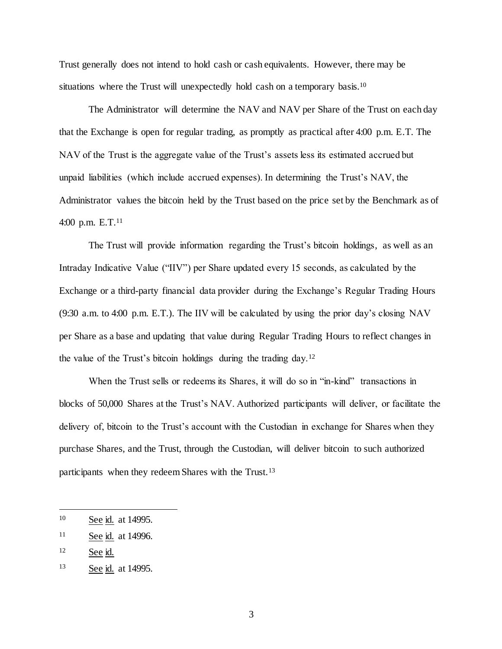Trust generally does not intend to hold cash or cash equivalents. However, there may be situations where the Trust will unexpectedly hold cash on a temporary basis.<sup>10</sup>

The Administrator will determine the NAV and NAV per Share of the Trust on each day that the Exchange is open for regular trading, as promptly as practical after 4:00 p.m. E.T. The NAV of the Trust is the aggregate value of the Trust's assets less its estimated accrued but unpaid liabilities (which include accrued expenses). In determining the Trust's NAV, the Administrator values the bitcoin held by the Trust based on the price set by the Benchmark as of 4:00 p.m. E.T.<sup>11</sup>

The Trust will provide information regarding the Trust's bitcoin holdings, as well as an Intraday Indicative Value ("IIV") per Share updated every 15 seconds, as calculated by the Exchange or a third-party financial data provider during the Exchange's Regular Trading Hours (9:30 a.m. to 4:00 p.m. E.T.). The IIV will be calculated by using the prior day's closing NAV per Share as a base and updating that value during Regular Trading Hours to reflect changes in the value of the Trust's bitcoin holdings during the trading day.<sup>12</sup>

When the Trust sells or redeems its Shares, it will do so in "in-kind" transactions in blocks of 50,000 Shares at the Trust's NAV. Authorized participants will deliver, or facilitate the delivery of, bitcoin to the Trust's account with the Custodian in exchange for Shares when they purchase Shares, and the Trust, through the Custodian, will deliver bitcoin to such authorized participants when they redeem Shares with the Trust.<sup>13</sup>

j

<sup>10</sup> See id. at 14995.

<sup>11</sup> See id. at 14996.

<sup>12</sup> See id.

<sup>13</sup> See id. at 14995.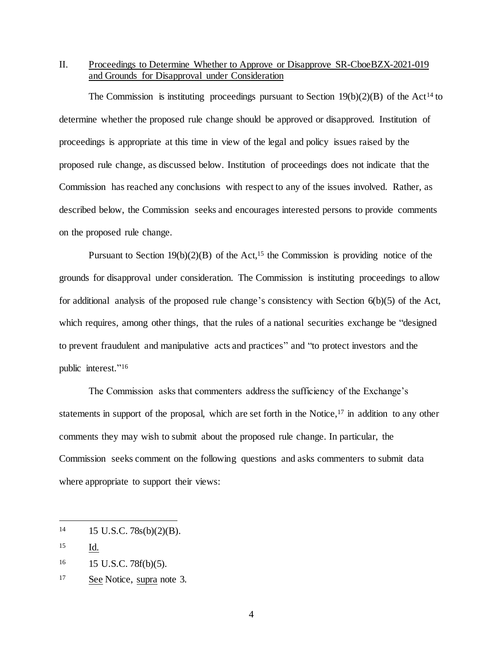II. Proceedings to Determine Whether to Approve or Disapprove SR-CboeBZX-2021-019 and Grounds for Disapproval under Consideration

The Commission is instituting proceedings pursuant to Section  $19(b)(2)(B)$  of the Act<sup>14</sup> to determine whether the proposed rule change should be approved or disapproved. Institution of proceedings is appropriate at this time in view of the legal and policy issues raised by the proposed rule change, as discussed below. Institution of proceedings does not indicate that the Commission has reached any conclusions with respect to any of the issues involved. Rather, as described below, the Commission seeks and encourages interested persons to provide comments on the proposed rule change.

Pursuant to Section  $19(b)(2)(B)$  of the Act,<sup>15</sup> the Commission is providing notice of the grounds for disapproval under consideration. The Commission is instituting proceedings to allow for additional analysis of the proposed rule change's consistency with Section 6(b)(5) of the Act, which requires, among other things, that the rules of a national securities exchange be "designed" to prevent fraudulent and manipulative acts and practices" and "to protect investors and the public interest." 16

The Commission asks that commenters address the sufficiency of the Exchange's statements in support of the proposal, which are set forth in the Notice,  $\frac{1}{7}$  in addition to any other comments they may wish to submit about the proposed rule change. In particular, the Commission seeks comment on the following questions and asks commenters to submit data where appropriate to support their views:

<sup>14</sup> 15 U.S.C. 78s(b)(2)(B).

<sup>15</sup> Id.

<sup>16</sup> 15 U.S.C. 78f(b)(5).

<sup>17</sup> See Notice, supra note 3.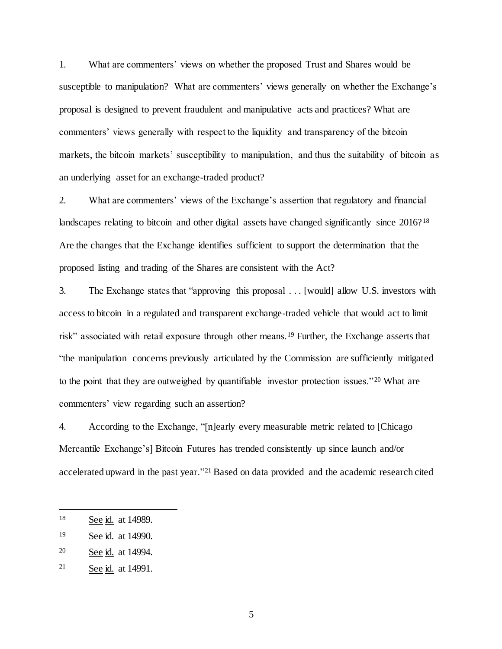1. What are commenters' views on whether the proposed Trust and Shares would be susceptible to manipulation? What are commenters' views generally on whether the Exchange's proposal is designed to prevent fraudulent and manipulative acts and practices? What are commenters' views generally with respect to the liquidity and transparency of the bitcoin markets, the bitcoin markets' susceptibility to manipulation, and thus the suitability of bitcoin as an underlying asset for an exchange-traded product?

2. What are commenters' views of the Exchange's assertion that regulatory and financial landscapes relating to bitcoin and other digital assets have changed significantly since 2016?<sup>18</sup> Are the changes that the Exchange identifies sufficient to support the determination that the proposed listing and trading of the Shares are consistent with the Act?

3. The Exchange states that "approving this proposal . . . [would] allow U.S. investors with access to bitcoin in a regulated and transparent exchange-traded vehicle that would act to limit risk" associated with retail exposure through other means.<sup>19</sup> Further, the Exchange asserts that "the manipulation concerns previously articulated by the Commission are sufficiently mitigated to the point that they are outweighed by quantifiable investor protection issues."<sup>20</sup> What are commenters' view regarding such an assertion?

4. According to the Exchange, "[n]early every measurable metric related to [Chicago Mercantile Exchange's] Bitcoin Futures has trended consistently up since launch and/or accelerated upward in the past year."<sup>21</sup> Based on data provided and the academic research cited

j

<sup>18</sup> See id. at 14989.

<sup>&</sup>lt;sup>19</sup> See id. at 14990.

<sup>20</sup> See id. at 14994.

<sup>21</sup> See id. at 14991.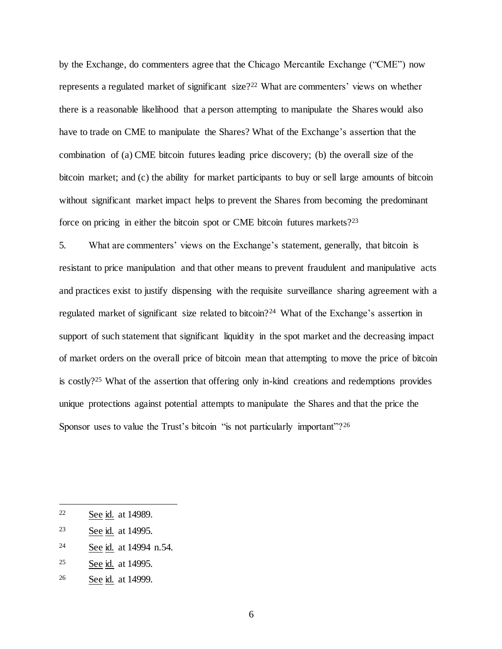by the Exchange, do commenters agree that the Chicago Mercantile Exchange ("CME") now represents a regulated market of significant size? <sup>22</sup> What are commenters' views on whether there is a reasonable likelihood that a person attempting to manipulate the Shares would also have to trade on CME to manipulate the Shares? What of the Exchange's assertion that the combination of (a) CME bitcoin futures leading price discovery; (b) the overall size of the bitcoin market; and (c) the ability for market participants to buy or sell large amounts of bitcoin without significant market impact helps to prevent the Shares from becoming the predominant force on pricing in either the bitcoin spot or CME bitcoin futures markets?<sup>23</sup>

5. What are commenters' views on the Exchange's statement, generally, that bitcoin is resistant to price manipulation and that other means to prevent fraudulent and manipulative acts and practices exist to justify dispensing with the requisite surveillance sharing agreement with a regulated market of significant size related to bitcoin?<sup>24</sup> What of the Exchange's assertion in support of such statement that significant liquidity in the spot market and the decreasing impact of market orders on the overall price of bitcoin mean that attempting to move the price of bitcoin is costly? <sup>25</sup> What of the assertion that offering only in-kind creations and redemptions provides unique protections against potential attempts to manipulate the Shares and that the price the Sponsor uses to value the Trust's bitcoin "is not particularly important"?<sup>26</sup>

j

- <sup>24</sup> See id. at 14994 n.54.
- <sup>25</sup> See id. at 14995.
- <sup>26</sup> See id. at 14999.

<sup>22</sup> See id. at 14989.

<sup>23</sup> See id. at 14995.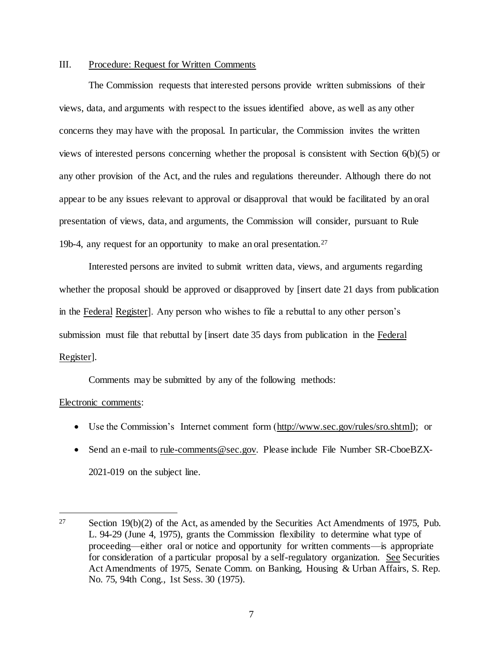# III. Procedure: Request for Written Comments

The Commission requests that interested persons provide written submissions of their views, data, and arguments with respect to the issues identified above, as well as any other concerns they may have with the proposal. In particular, the Commission invites the written views of interested persons concerning whether the proposal is consistent with Section 6(b)(5) or any other provision of the Act, and the rules and regulations thereunder. Although there do not appear to be any issues relevant to approval or disapproval that would be facilitated by an oral presentation of views, data, and arguments, the Commission will consider, pursuant to Rule 19b-4, any request for an opportunity to make an oral presentation.<sup>27</sup>

Interested persons are invited to submit written data, views, and arguments regarding whether the proposal should be approved or disapproved by [insert date 21 days from publication in the Federal Register]. Any person who wishes to file a rebuttal to any other person's submission must file that rebuttal by [insert date 35 days from publication in the Federal Register].

Comments may be submitted by any of the following methods:

### Electronic comments:

- Use the Commission's Internet comment form (http://www.sec.gov/rules/sro.shtml); or
- Send an e-mail to rule-comments@sec.gov. Please include File Number SR-CboeBZX-2021-019 on the subject line.

<sup>&</sup>lt;sup>27</sup> Section 19(b)(2) of the Act, as amended by the Securities Act Amendments of 1975, Pub. L. 94-29 (June 4, 1975), grants the Commission flexibility to determine what type of proceeding—either oral or notice and opportunity for written comments—is appropriate for consideration of a particular proposal by a self-regulatory organization. See Securities Act Amendments of 1975, Senate Comm. on Banking, Housing & Urban Affairs, S. Rep. No. 75, 94th Cong., 1st Sess. 30 (1975).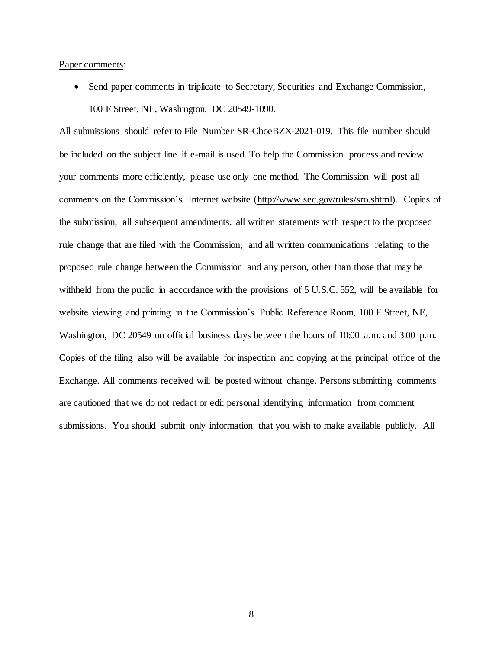#### Paper comments:

• Send paper comments in triplicate to Secretary, Securities and Exchange Commission, 100 F Street, NE, Washington, DC 20549-1090.

All submissions should refer to File Number SR-CboeBZX-2021-019. This file number should be included on the subject line if e-mail is used. To help the Commission process and review your comments more efficiently, please use only one method. The Commission will post all comments on the Commission's Internet website (http://www.sec.gov/rules/sro.shtml). Copies of the submission, all subsequent amendments, all written statements with respect to the proposed rule change that are filed with the Commission, and all written communications relating to the proposed rule change between the Commission and any person, other than those that may be withheld from the public in accordance with the provisions of 5 U.S.C. 552, will be available for website viewing and printing in the Commission's Public Reference Room, 100 F Street, NE, Washington, DC 20549 on official business days between the hours of 10:00 a.m. and 3:00 p.m. Copies of the filing also will be available for inspection and copying at the principal office of the Exchange. All comments received will be posted without change. Persons submitting comments are cautioned that we do not redact or edit personal identifying information from comment submissions. You should submit only information that you wish to make available publicly. All